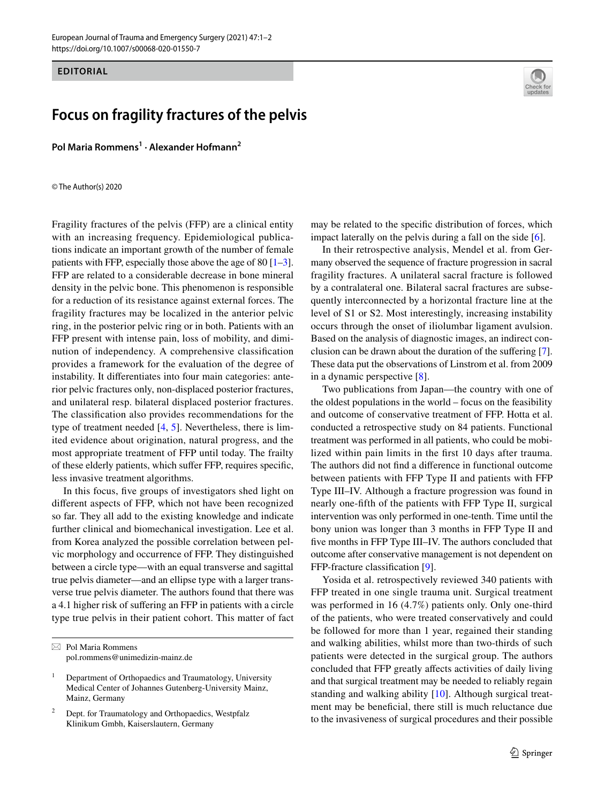### **EDITORIAL**

# **Focus on fragility fractures of the pelvis**

**Pol Maria Rommens1 · Alexander Hofmann2**

© The Author(s) 2020

Fragility fractures of the pelvis (FFP) are a clinical entity with an increasing frequency. Epidemiological publications indicate an important growth of the number of female patients with FFP, especially those above the age of 80 [[1](#page-1-0)[–3](#page-1-1)]. FFP are related to a considerable decrease in bone mineral density in the pelvic bone. This phenomenon is responsible for a reduction of its resistance against external forces. The fragility fractures may be localized in the anterior pelvic ring, in the posterior pelvic ring or in both. Patients with an FFP present with intense pain, loss of mobility, and diminution of independency. A comprehensive classifcation provides a framework for the evaluation of the degree of instability. It diferentiates into four main categories: anterior pelvic fractures only, non-displaced posterior fractures, and unilateral resp. bilateral displaced posterior fractures. The classifcation also provides recommendations for the type of treatment needed [\[4](#page-1-2), [5\]](#page-1-3). Nevertheless, there is limited evidence about origination, natural progress, and the most appropriate treatment of FFP until today. The frailty of these elderly patients, which sufer FFP, requires specifc, less invasive treatment algorithms.

In this focus, fve groups of investigators shed light on diferent aspects of FFP, which not have been recognized so far. They all add to the existing knowledge and indicate further clinical and biomechanical investigation. Lee et al. from Korea analyzed the possible correlation between pelvic morphology and occurrence of FFP. They distinguished between a circle type—with an equal transverse and sagittal true pelvis diameter—and an ellipse type with a larger transverse true pelvis diameter. The authors found that there was a 4.1 higher risk of sufering an FFP in patients with a circle type true pelvis in their patient cohort. This matter of fact



may be related to the specifc distribution of forces, which impact laterally on the pelvis during a fall on the side [\[6](#page-1-4)].

In their retrospective analysis, Mendel et al. from Germany observed the sequence of fracture progression in sacral fragility fractures. A unilateral sacral fracture is followed by a contralateral one. Bilateral sacral fractures are subsequently interconnected by a horizontal fracture line at the level of S1 or S2. Most interestingly, increasing instability occurs through the onset of iliolumbar ligament avulsion. Based on the analysis of diagnostic images, an indirect conclusion can be drawn about the duration of the sufering [\[7](#page-1-5)]. These data put the observations of Linstrom et al. from 2009 in a dynamic perspective [\[8](#page-1-6)].

Two publications from Japan—the country with one of the oldest populations in the world – focus on the feasibility and outcome of conservative treatment of FFP. Hotta et al. conducted a retrospective study on 84 patients. Functional treatment was performed in all patients, who could be mobilized within pain limits in the frst 10 days after trauma. The authors did not fnd a diference in functional outcome between patients with FFP Type II and patients with FFP Type III–IV. Although a fracture progression was found in nearly one-ffth of the patients with FFP Type II, surgical intervention was only performed in one-tenth. Time until the bony union was longer than 3 months in FFP Type II and fve months in FFP Type III–IV. The authors concluded that outcome after conservative management is not dependent on FFP-fracture classifcation [[9\]](#page-1-7).

Yosida et al. retrospectively reviewed 340 patients with FFP treated in one single trauma unit. Surgical treatment was performed in 16 (4.7%) patients only. Only one-third of the patients, who were treated conservatively and could be followed for more than 1 year, regained their standing and walking abilities, whilst more than two-thirds of such patients were detected in the surgical group. The authors concluded that FFP greatly afects activities of daily living and that surgical treatment may be needed to reliably regain standing and walking ability [\[10](#page-1-8)]. Although surgical treatment may be benefcial, there still is much reluctance due to the invasiveness of surgical procedures and their possible

 $\boxtimes$  Pol Maria Rommens pol.rommens@unimedizin-mainz.de

<sup>&</sup>lt;sup>1</sup> Department of Orthopaedics and Traumatology, University Medical Center of Johannes Gutenberg-University Mainz, Mainz, Germany

<sup>2</sup> Dept. for Traumatology and Orthopaedics, Westpfalz Klinikum Gmbh, Kaiserslautern, Germany